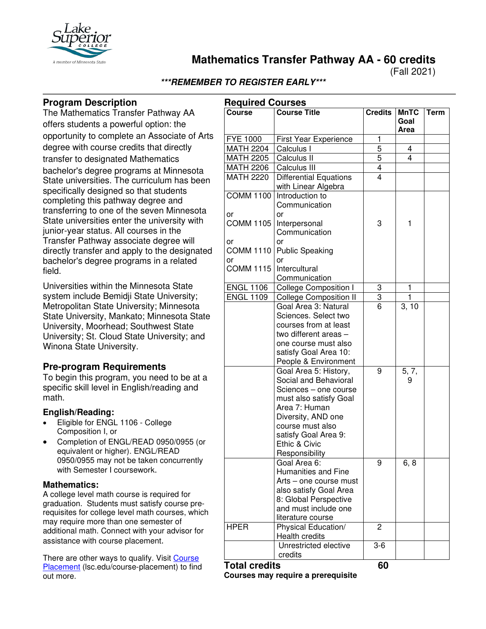

**Mathematics Transfer Pathway AA - 60 credits**

(Fall 2021)

### **\*\*\*REMEMBER TO REGISTER EARLY\*\*\***

### **Program Description**

The Mathematics Transfer Pathway AA offers students a powerful option: the opportunity to complete an Associate of Arts degree with course credits that directly transfer to designated Mathematics bachelor's degree programs at Minnesota State universities. The curriculum has been specifically designed so that students completing this pathway degree and transferring to one of the seven Minnesota State universities enter the university with junior-year status. All courses in the Transfer Pathway associate degree will directly transfer and apply to the designated bachelor's degree programs in a related field.

Universities within the Minnesota State system include Bemidji State University; Metropolitan State University; Minnesota State University, Mankato; Minnesota State University, Moorhead; Southwest State University; St. Cloud State University; and Winona State University.

### **Pre-program Requirements**

To begin this program, you need to be at a specific skill level in English/reading and math.

### **English/Reading:**

- Eligible for ENGL 1106 College Composition I, or
- Completion of ENGL/READ 0950/0955 (or equivalent or higher). ENGL/READ 0950/0955 may not be taken concurrently with Semester I coursework.

#### **Mathematics:**

A college level math course is required for graduation. Students must satisfy course prerequisites for college level math courses, which may require more than one semester of additional math. Connect with your advisor for assistance with course placement.

There are other ways to qualify. Visit [Course](https://www.lsc.edu/course-placement/)  [Placement](https://www.lsc.edu/course-placement/) (Isc.edu/course-placement) to find out more.

| <b>Required Courses</b>      |                                                                                                                                                                                                                         |                         |                             |             |
|------------------------------|-------------------------------------------------------------------------------------------------------------------------------------------------------------------------------------------------------------------------|-------------------------|-----------------------------|-------------|
| <b>Course</b>                | <b>Course Title</b>                                                                                                                                                                                                     | <b>Credits</b>          | <b>MnTC</b><br>Goal<br>Area | <b>Term</b> |
| <b>FYE 1000</b>              | First Year Experience                                                                                                                                                                                                   | 1                       |                             |             |
| <b>MATH 2204</b>             | Calculus I                                                                                                                                                                                                              | 5                       | 4                           |             |
| <b>MATH 2205</b>             | Calculus II                                                                                                                                                                                                             | $\overline{5}$          | 4                           |             |
| <b>MATH 2206</b>             | Calculus III                                                                                                                                                                                                            | $\overline{4}$          |                             |             |
| <b>MATH 2220</b>             | <b>Differential Equations</b><br>with Linear Algebra                                                                                                                                                                    | $\overline{4}$          |                             |             |
| <b>COMM 1100</b><br>or       | Introduction to<br>Communication<br>or                                                                                                                                                                                  |                         |                             |             |
| <b>COMM 1105</b>             | Interpersonal<br>Communication                                                                                                                                                                                          | 3                       | 1                           |             |
| or<br><b>COMM 1110</b><br>or | or<br><b>Public Speaking</b><br>or                                                                                                                                                                                      |                         |                             |             |
| <b>COMM 1115</b>             | Intercultural<br>Communication                                                                                                                                                                                          |                         |                             |             |
| <b>ENGL 1106</b>             | <b>College Composition I</b>                                                                                                                                                                                            | 3                       | 1                           |             |
| <b>ENGL 1109</b>             | <b>College Composition II</b>                                                                                                                                                                                           | $\overline{3}$          | 1                           |             |
|                              | Goal Area 3: Natural<br>Sciences. Select two<br>courses from at least<br>two different areas -<br>one course must also<br>satisfy Goal Area 10:<br>People & Environment                                                 | 6                       | 3, 10                       |             |
|                              | Goal Area 5: History,<br>Social and Behavioral<br>Sciences - one course<br>must also satisfy Goal<br>Area 7: Human<br>Diversity, AND one<br>course must also<br>satisfy Goal Area 9:<br>Ethic & Civic<br>Responsibility | 9                       | 5, 7,<br>9                  |             |
|                              | Goal Area 6:<br><b>Humanities and Fine</b><br>Arts - one course must<br>also satisfy Goal Area<br>8: Global Perspective<br>and must include one<br>literature course                                                    | 9                       | 6, 8                        |             |
| <b>HPER</b>                  | Physical Education/<br>Health credits<br>Unrestricted elective                                                                                                                                                          | $\overline{c}$<br>$3-6$ |                             |             |
|                              | credits                                                                                                                                                                                                                 |                         |                             |             |

## **Total credits 60**

**Courses may require a prerequisite**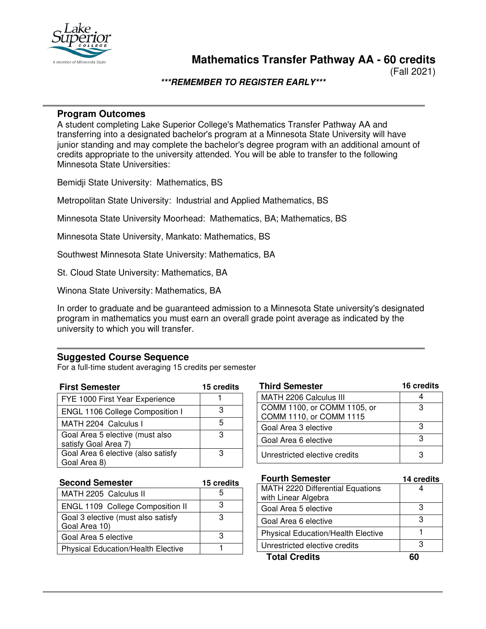

**Mathematics Transfer Pathway AA - 60 credits**

(Fall 2021)

### **\*\*\*REMEMBER TO REGISTER EARLY\*\*\***

### **Program Outcomes**

A student completing Lake Superior College's Mathematics Transfer Pathway AA and transferring into a designated bachelor's program at a Minnesota State University will have junior standing and may complete the bachelor's degree program with an additional amount of credits appropriate to the university attended. You will be able to transfer to the following Minnesota State Universities:

Bemidji State University: Mathematics, BS

Metropolitan State University: Industrial and Applied Mathematics, BS

Minnesota State University Moorhead: Mathematics, BA; Mathematics, BS

Minnesota State University, Mankato: Mathematics, BS

Southwest Minnesota State University: Mathematics, BA

St. Cloud State University: Mathematics, BA

Winona State University: Mathematics, BA

In order to graduate and be guaranteed admission to a Minnesota State university's designated program in mathematics you must earn an overall grade point average as indicated by the university to which you will transfer.

### **Suggested Course Sequence**

For a full-time student averaging 15 credits per semester

| <b>First Semester</b>                                   | 15 credits |
|---------------------------------------------------------|------------|
| FYE 1000 First Year Experience                          |            |
| <b>ENGL 1106 College Composition I</b>                  | з          |
| MATH 2204 Calculus I                                    | 5          |
| Goal Area 5 elective (must also<br>satisfy Goal Area 7) | з          |
| Goal Area 6 elective (also satisfy                      | з          |
| Goal Area 8)                                            |            |

| <b>Third Semester</b>         | 16 credits |
|-------------------------------|------------|
| MATH 2206 Calculus III        |            |
| COMM 1100, or COMM 1105, or   | з          |
| COMM 1110, or COMM 1115       |            |
| Goal Area 3 elective          | з          |
| Goal Area 6 elective          | з          |
| Unrestricted elective credits |            |

| <b>Second Semester</b>                              | 15 credits |  |
|-----------------------------------------------------|------------|--|
| MATH 2205 Calculus II                               |            |  |
| ENGL 1109 College Composition II                    | З          |  |
| Goal 3 elective (must also satisfy<br>Goal Area 10) |            |  |
| Goal Area 5 elective                                |            |  |
| <b>Physical Education/Health Elective</b>           |            |  |

| <b>Fourth Semester</b>                    | 14 credits |
|-------------------------------------------|------------|
| <b>MATH 2220 Differential Equations</b>   |            |
| with Linear Algebra                       |            |
| Goal Area 5 elective                      | З          |
| Goal Area 6 elective                      | З          |
| <b>Physical Education/Health Elective</b> |            |
| Unrestricted elective credits             | з          |
| <b>Total Credits</b>                      |            |